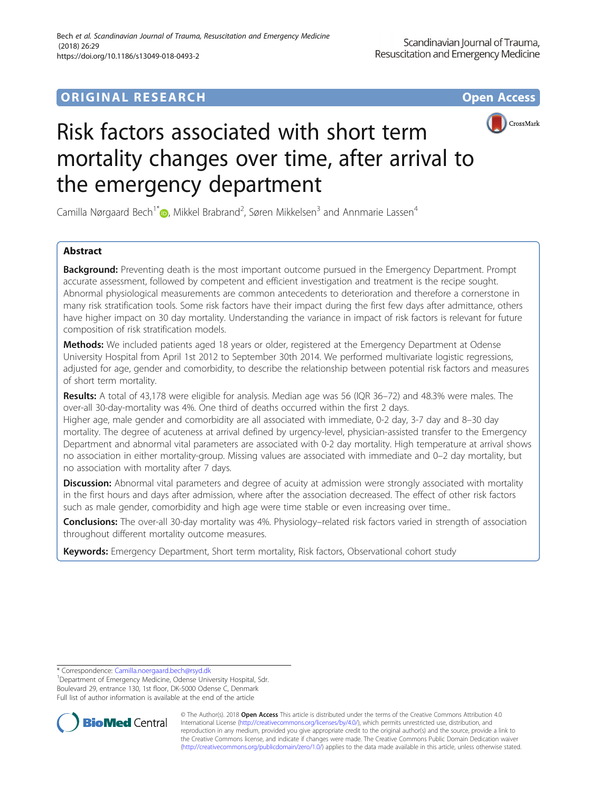## **ORIGINAL RESEARCH CONSUMING ACCESS**



# Risk factors associated with short term mortality changes over time, after arrival to the emergency department

Camilla Nørgaard Bech<sup>1[\\*](http://orcid.org/0000-0002-3253-0474)</sup> $\textcircled{\tiny D}$ , Mikkel Brabrand<sup>2</sup>, Søren Mikkelsen<sup>3</sup> and Annmarie Lassen<sup>4</sup>

## Abstract

**Background:** Preventing death is the most important outcome pursued in the Emergency Department. Prompt accurate assessment, followed by competent and efficient investigation and treatment is the recipe sought. Abnormal physiological measurements are common antecedents to deterioration and therefore a cornerstone in many risk stratification tools. Some risk factors have their impact during the first few days after admittance, others have higher impact on 30 day mortality. Understanding the variance in impact of risk factors is relevant for future composition of risk stratification models.

Methods: We included patients aged 18 years or older, registered at the Emergency Department at Odense University Hospital from April 1st 2012 to September 30th 2014. We performed multivariate logistic regressions, adjusted for age, gender and comorbidity, to describe the relationship between potential risk factors and measures of short term mortality.

Results: A total of 43,178 were eligible for analysis. Median age was 56 (IQR 36–72) and 48.3% were males. The over-all 30-day-mortality was 4%. One third of deaths occurred within the first 2 days.

Higher age, male gender and comorbidity are all associated with immediate, 0-2 day, 3-7 day and 8–30 day mortality. The degree of acuteness at arrival defined by urgency-level, physician-assisted transfer to the Emergency Department and abnormal vital parameters are associated with 0-2 day mortality. High temperature at arrival shows no association in either mortality-group. Missing values are associated with immediate and 0–2 day mortality, but no association with mortality after 7 days.

**Discussion:** Abnormal vital parameters and degree of acuity at admission were strongly associated with mortality in the first hours and days after admission, where after the association decreased. The effect of other risk factors such as male gender, comorbidity and high age were time stable or even increasing over time..

Conclusions: The over-all 30-day mortality was 4%. Physiology–related risk factors varied in strength of association throughout different mortality outcome measures.

Keywords: Emergency Department, Short term mortality, Risk factors, Observational cohort study

\* Correspondence: [Camilla.noergaard.bech@rsyd.dk](mailto:Camilla.noergaard.bech@rsyd.dk) <sup>1</sup>

Department of Emergency Medicine, Odense University Hospital, Sdr. Boulevard 29, entrance 130, 1st floor, DK-5000 Odense C, Denmark Full list of author information is available at the end of the article



© The Author(s). 2018 Open Access This article is distributed under the terms of the Creative Commons Attribution 4.0 International License [\(http://creativecommons.org/licenses/by/4.0/](http://creativecommons.org/licenses/by/4.0/)), which permits unrestricted use, distribution, and reproduction in any medium, provided you give appropriate credit to the original author(s) and the source, provide a link to the Creative Commons license, and indicate if changes were made. The Creative Commons Public Domain Dedication waiver [\(http://creativecommons.org/publicdomain/zero/1.0/](http://creativecommons.org/publicdomain/zero/1.0/)) applies to the data made available in this article, unless otherwise stated.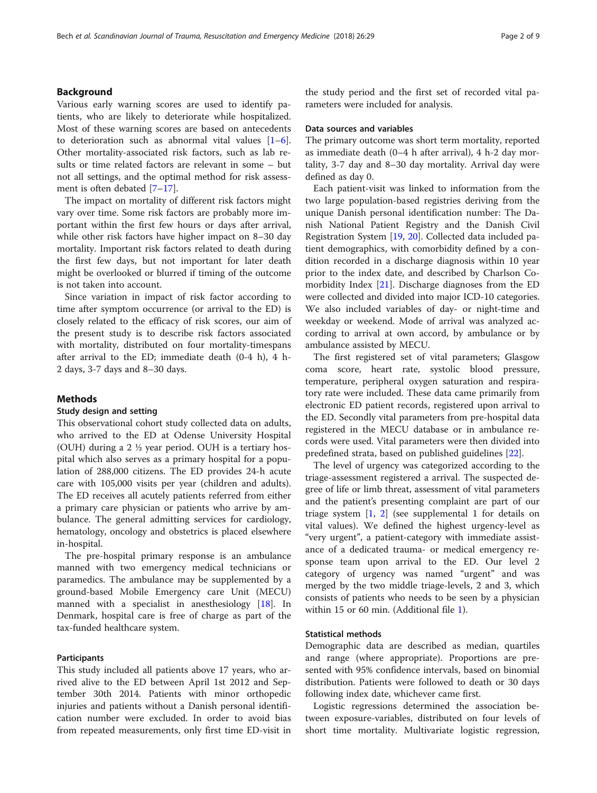## Background

Various early warning scores are used to identify patients, who are likely to deteriorate while hospitalized. Most of these warning scores are based on antecedents to deterioration such as abnormal vital values  $[1-6]$  $[1-6]$  $[1-6]$  $[1-6]$ . Other mortality-associated risk factors, such as lab results or time related factors are relevant in some – but not all settings, and the optimal method for risk assessment is often debated [[7](#page-8-0)–[17\]](#page-8-0).

The impact on mortality of different risk factors might vary over time. Some risk factors are probably more important within the first few hours or days after arrival, while other risk factors have higher impact on 8–30 day mortality. Important risk factors related to death during the first few days, but not important for later death might be overlooked or blurred if timing of the outcome is not taken into account.

Since variation in impact of risk factor according to time after symptom occurrence (or arrival to the ED) is closely related to the efficacy of risk scores, our aim of the present study is to describe risk factors associated with mortality, distributed on four mortality-timespans after arrival to the ED; immediate death (0-4 h), 4 h-2 days, 3-7 days and 8–30 days.

## Methods

## Study design and setting

This observational cohort study collected data on adults, who arrived to the ED at Odense University Hospital (OUH) during a 2 ½ year period. OUH is a tertiary hospital which also serves as a primary hospital for a population of 288,000 citizens. The ED provides 24-h acute care with 105,000 visits per year (children and adults). The ED receives all acutely patients referred from either a primary care physician or patients who arrive by ambulance. The general admitting services for cardiology, hematology, oncology and obstetrics is placed elsewhere in-hospital.

The pre-hospital primary response is an ambulance manned with two emergency medical technicians or paramedics. The ambulance may be supplemented by a ground-based Mobile Emergency care Unit (MECU) manned with a specialist in anesthesiology [[18\]](#page-8-0). In Denmark, hospital care is free of charge as part of the tax-funded healthcare system.

#### Participants

This study included all patients above 17 years, who arrived alive to the ED between April 1st 2012 and September 30th 2014. Patients with minor orthopedic injuries and patients without a Danish personal identification number were excluded. In order to avoid bias from repeated measurements, only first time ED-visit in

the study period and the first set of recorded vital parameters were included for analysis.

#### Data sources and variables

The primary outcome was short term mortality, reported as immediate death (0–4 h after arrival), 4 h-2 day mortality, 3-7 day and 8–30 day mortality. Arrival day were defined as day 0.

Each patient-visit was linked to information from the two large population-based registries deriving from the unique Danish personal identification number: The Danish National Patient Registry and the Danish Civil Registration System [\[19,](#page-8-0) [20\]](#page-8-0). Collected data included patient demographics, with comorbidity defined by a condition recorded in a discharge diagnosis within 10 year prior to the index date, and described by Charlson Comorbidity Index [[21\]](#page-8-0). Discharge diagnoses from the ED were collected and divided into major ICD-10 categories. We also included variables of day- or night-time and weekday or weekend. Mode of arrival was analyzed according to arrival at own accord, by ambulance or by ambulance assisted by MECU.

The first registered set of vital parameters; Glasgow coma score, heart rate, systolic blood pressure, temperature, peripheral oxygen saturation and respiratory rate were included. These data came primarily from electronic ED patient records, registered upon arrival to the ED. Secondly vital parameters from pre-hospital data registered in the MECU database or in ambulance records were used. Vital parameters were then divided into predefined strata, based on published guidelines [[22\]](#page-8-0).

The level of urgency was categorized according to the triage-assessment registered a arrival. The suspected degree of life or limb threat, assessment of vital parameters and the patient's presenting complaint are part of our triage system [[1,](#page-7-0) [2](#page-7-0)] (see supplemental 1 for details on vital values). We defined the highest urgency-level as "very urgent", a patient-category with immediate assistance of a dedicated trauma- or medical emergency response team upon arrival to the ED. Our level 2 category of urgency was named "urgent" and was merged by the two middle triage-levels, 2 and 3, which consists of patients who needs to be seen by a physician within 15 or 60 min. (Additional file [1\)](#page-7-0).

## Statistical methods

Demographic data are described as median, quartiles and range (where appropriate). Proportions are presented with 95% confidence intervals, based on binomial distribution. Patients were followed to death or 30 days following index date, whichever came first.

Logistic regressions determined the association between exposure-variables, distributed on four levels of short time mortality. Multivariate logistic regression,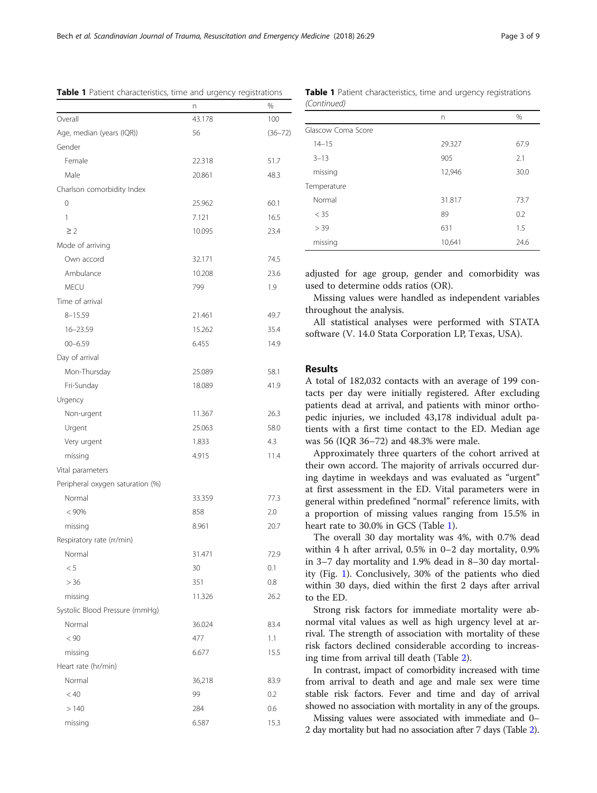Table 1 Patient characteristics, time and urgency registrations

| Page 3 of 9 |  |  |
|-------------|--|--|
|             |  |  |

|                                  | n      | $\%$        |
|----------------------------------|--------|-------------|
| Overall                          | 43.178 | 100         |
| Age, median (years (IQR))        | 56     | $(36 - 72)$ |
| Gender                           |        |             |
| Female                           | 22.318 | 51.7        |
| Male                             | 20.861 | 48.3        |
| Charlson comorbidity Index       |        |             |
| 0                                | 25.962 | 60.1        |
| 1                                | 7.121  | 16.5        |
| $\geq$ 2                         | 10.095 | 23.4        |
| Mode of arriving                 |        |             |
| Own accord                       | 32.171 | 74.5        |
| Ambulance                        | 10.208 | 23.6        |
| <b>MECU</b>                      | 799    | 1.9         |
| Time of arrival                  |        |             |
| $8 - 15.59$                      | 21.461 | 49.7        |
| 16-23.59                         | 15.262 | 35.4        |
| $00 - 6.59$                      | 6.455  | 14.9        |
| Day of arrival                   |        |             |
| Mon-Thursday                     | 25.089 | 58.1        |
| Fri-Sunday                       | 18.089 | 41.9        |
| Urgency                          |        |             |
| Non-urgent                       | 11.367 | 26.3        |
| Urgent                           | 25.063 | 58.0        |
| Very urgent                      | 1.833  | 4.3         |
| missing                          | 4.915  | 11.4        |
| Vital parameters                 |        |             |
| Peripheral oxygen saturation (%) |        |             |
| Normal                           | 33.359 | 77.3        |
| < 90%                            | 858    | 2.0         |
| missing                          | 8.961  | 20.7        |
| Respiratory rate (rr/min)        |        |             |
| Normal                           | 31.471 | 72.9        |
| < 5                              | 30     | 0.1         |
| > 36                             | 351    | 0.8         |
| missing                          | 11.326 | 26.2        |
| Systolic Blood Pressure (mmHg)   |        |             |
| Normal                           | 36.024 | 83.4        |
| < 90                             | 477    | 1.1         |
| missing                          | 6.677  | 15.5        |
| Heart rate (hr/min)              |        |             |
| Normal                           | 36,218 | 83.9        |
| < 40                             | 99     | 0.2         |
| >140                             | 284    | 0.6         |
| missing                          | 6.587  | 15.3        |
|                                  |        |             |

|             | <b>Table 1</b> Patient characteristics, time and urgency registrations |  |  |
|-------------|------------------------------------------------------------------------|--|--|
| (Continued) |                                                                        |  |  |

|                    | n      | %    |
|--------------------|--------|------|
| Glascow Coma Score |        |      |
| $14 - 15$          | 29.327 | 67.9 |
| $3 - 13$           | 905    | 2.1  |
| missing            | 12,946 | 30.0 |
| Temperature        |        |      |
| Normal             | 31.817 | 73.7 |
| < 35               | 89     | 0.2  |
| > 39               | 631    | 1.5  |
| missing            | 10,641 | 24.6 |
|                    |        |      |

adjusted for age group, gender and comorbidity was used to determine odds ratios (OR).

Missing values were handled as independent variables throughout the analysis.

All statistical analyses were performed with STATA software (V. 14.0 Stata Corporation LP, Texas, USA).

## Results

A total of 182,032 contacts with an average of 199 contacts per day were initially registered. After excluding patients dead at arrival, and patients with minor orthopedic injuries, we included 43,178 individual adult patients with a first time contact to the ED. Median age was 56 (IQR 36–72) and 48.3% were male.

Approximately three quarters of the cohort arrived at their own accord. The majority of arrivals occurred during daytime in weekdays and was evaluated as "urgent" at first assessment in the ED. Vital parameters were in general within predefined "normal" reference limits, with a proportion of missing values ranging from 15.5% in heart rate to 30.0% in GCS (Table 1).

The overall 30 day mortality was 4%, with 0.7% dead within 4 h after arrival, 0.5% in 0–2 day mortality, 0.9% in 3–7 day mortality and 1.9% dead in 8–30 day mortality (Fig. [1\)](#page-3-0). Conclusively, 30% of the patients who died within 30 days, died within the first 2 days after arrival to the ED.

Strong risk factors for immediate mortality were abnormal vital values as well as high urgency level at arrival. The strength of association with mortality of these risk factors declined considerable according to increasing time from arrival till death (Table [2\)](#page-4-0).

In contrast, impact of comorbidity increased with time from arrival to death and age and male sex were time stable risk factors. Fever and time and day of arrival showed no association with mortality in any of the groups.

Missing values were associated with immediate and 0– 2 day mortality but had no association after 7 days (Table [2](#page-4-0)).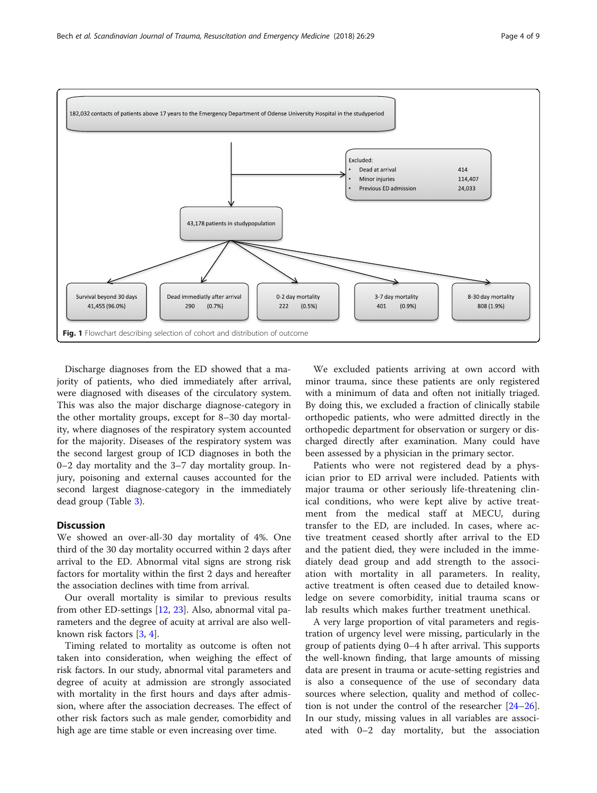<span id="page-3-0"></span>

Discharge diagnoses from the ED showed that a majority of patients, who died immediately after arrival, were diagnosed with diseases of the circulatory system. This was also the major discharge diagnose-category in the other mortality groups, except for 8–30 day mortality, where diagnoses of the respiratory system accounted for the majority. Diseases of the respiratory system was the second largest group of ICD diagnoses in both the 0–2 day mortality and the 3–7 day mortality group. Injury, poisoning and external causes accounted for the second largest diagnose-category in the immediately dead group (Table [3](#page-6-0)).

## **Discussion**

We showed an over-all-30 day mortality of 4%. One third of the 30 day mortality occurred within 2 days after arrival to the ED. Abnormal vital signs are strong risk factors for mortality within the first 2 days and hereafter the association declines with time from arrival.

Our overall mortality is similar to previous results from other ED-settings [[12,](#page-8-0) [23\]](#page-8-0). Also, abnormal vital parameters and the degree of acuity at arrival are also wellknown risk factors [[3,](#page-7-0) [4\]](#page-7-0).

Timing related to mortality as outcome is often not taken into consideration, when weighing the effect of risk factors. In our study, abnormal vital parameters and degree of acuity at admission are strongly associated with mortality in the first hours and days after admission, where after the association decreases. The effect of other risk factors such as male gender, comorbidity and high age are time stable or even increasing over time.

We excluded patients arriving at own accord with minor trauma, since these patients are only registered with a minimum of data and often not initially triaged. By doing this, we excluded a fraction of clinically stabile orthopedic patients, who were admitted directly in the orthopedic department for observation or surgery or discharged directly after examination. Many could have been assessed by a physician in the primary sector.

Patients who were not registered dead by a physician prior to ED arrival were included. Patients with major trauma or other seriously life-threatening clinical conditions, who were kept alive by active treatment from the medical staff at MECU, during transfer to the ED, are included. In cases, where active treatment ceased shortly after arrival to the ED and the patient died, they were included in the immediately dead group and add strength to the association with mortality in all parameters. In reality, active treatment is often ceased due to detailed knowledge on severe comorbidity, initial trauma scans or lab results which makes further treatment unethical.

A very large proportion of vital parameters and registration of urgency level were missing, particularly in the group of patients dying 0–4 h after arrival. This supports the well-known finding, that large amounts of missing data are present in trauma or acute-setting registries and is also a consequence of the use of secondary data sources where selection, quality and method of collection is not under the control of the researcher [[24](#page-8-0)–[26](#page-8-0)]. In our study, missing values in all variables are associated with 0–2 day mortality, but the association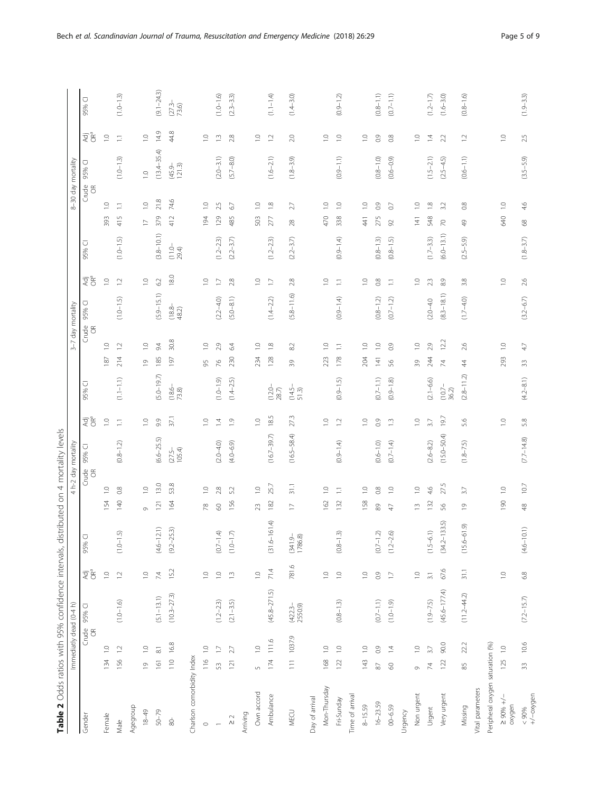<span id="page-4-0"></span>

| Table 2 Odds ratios with 95% confidence intervals, dis- | Immediatly dead (0-4 h)                |                    |                          |                       |                               | tributed on 4 mortality levels<br>4 h-2 day mortality |                          |                    |                                              | 3-7 day mortality     |                          |                 |                                   | 8-30 day mortality  |                    |                    |
|---------------------------------------------------------|----------------------------------------|--------------------|--------------------------|-----------------------|-------------------------------|-------------------------------------------------------|--------------------------|--------------------|----------------------------------------------|-----------------------|--------------------------|-----------------|-----------------------------------|---------------------|--------------------|--------------------|
| Gender                                                  |                                        | Crude 95% Cl<br>OR | <b>Adj</b><br>ORª        | 95% CI                |                               | 95% CI<br>Crude<br>OR                                 | <b>Adj</b>               | 95% CI             |                                              | 95% CI<br>Crude<br>OR | <b>Adj</b>               | 95% CI          | Crude<br>$\infty$                 | 95% CI              | ≹<br>∂है           | 95% CI             |
| Female                                                  | $\overline{1}$ .0<br>134               |                    | $\bar{C}$                |                       | $\Xi$<br>154                  |                                                       | $\supseteq$              |                    | $\bar{c}$<br>187                             |                       | $\supseteq$              |                 | $\overline{1}$ .0<br>393          |                     | $\supseteq$        |                    |
| Male                                                    | $\overline{\phantom{0}}$<br>156        | $(1.0 - 1.6)$      | $\overline{12}$          | $(1.0 - 1.5)$         | 0.8<br>140                    | $(0.8 - 1.2)$                                         | $\equiv$                 | $(1.1 - 1.1)$      | $\overline{\phantom{a}}$<br>214              | $(1.0 - 1.5)$         | 1.2                      | $(1.0 - 1.5)$   | $\Xi$<br>415                      | $(1.0 - 1.3)$       | $\equiv$           | $(1.0 - 1.3)$      |
| Agegroup                                                |                                        |                    |                          |                       |                               |                                                       |                          |                    |                                              |                       |                          |                 |                                   |                     |                    |                    |
| $18 - 49$                                               | $\frac{0}{1}$<br>$\frac{\circ}{\circ}$ |                    | $\bar{C}$                |                       | $\overline{1.0}$<br>$\circ$   |                                                       | $\overline{\phantom{0}}$ |                    | $\frac{0}{1}$<br>$\overline{0}$              |                       | $\supseteq$              |                 | $\frac{0}{1}$<br>$\overline{1}$   | $\overline{a}$      | $\supseteq$        |                    |
| $50 - 79$                                               | $\overline{\infty}$<br>161             | $(5.1 - 13.1)$     | $\it 74$                 | $(4.6 - 12.1)$        | 121                           | $(6.6 - 25.5)$<br>13.0                                | 9.9                      | $(5.0 - 19.7)$     | 64<br>185                                    | $(5.9 - 15.1)$        | 6.2                      | $(3.8 - 10.1)$  | 21.8<br>379                       | $(13.4 - 35.4)$     | 14.9               | $(9.1 - 24.3)$     |
| $\otimes$                                               | 110 16.8                               | $(10.3 - 27.3)$    | 15.2                     | $(9.2 - 25.3)$        | 164                           | $(27.5 - 105.4)$<br>53.8                              | 37,1                     | $(186 - 73.8)$     | 30.8<br>197                                  | $(18.8 - 48.2)$       | 18.0                     | $(11.0 - 29.4)$ | 74.6<br>412                       | $(45.9 -$<br>121.3) | 44.8               | $(27.3 -$<br>73.6) |
| Charlson comorbidity Index                              |                                        |                    |                          |                       |                               |                                                       |                          |                    |                                              |                       |                          |                 |                                   |                     |                    |                    |
| $\circ$                                                 | $\frac{1}{2}$<br>$\frac{6}{1}$         |                    | $\overline{\phantom{0}}$ |                       | $\overline{1.0}$<br>$\approx$ |                                                       | $\supseteq$              |                    | $\overline{1}$ .0<br>95                      |                       | $\overline{0}$           |                 | $\overline{1}$ .0<br>194          |                     | $\overline{C}$     |                    |
| $\overline{a}$                                          | $\Box$<br>53                           | $(1.2 - 2.3)$      | $\overline{\phantom{0}}$ | $(0.7 - 1.4)$         | 2.8<br>$\odot$                | $(2.0 - 4.0)$                                         | $\overline{4}$           | $(1.0 - 1.9)$      | 2.9<br>76                                    | $(2.2 - 4.0)$         | $\overline{1}$           | $(1.2 - 2.3)$   | 2.5<br>129                        | $(2.0 - 3.1)$       | $\bar{L}$          | $(1.0 - 1.6)$      |
| $\stackrel{\textstyle _{\sim}}{_{\sim}}$                | 27<br>121                              | $(2.1 - 3.5)$      | $\frac{3}{2}$            | $(1.0 - 1.7)$         | 5.2<br>156                    | $(4.0 - 6.9)$                                         | $\overline{0}$           | $(1.4 - 2.5)$      | 64<br>230                                    | $(5.0 - 8.1)$         | 2.8                      | $(2.2 - 3.7)$   | 6.7<br>485                        | $(5.7 - 8.0)$       | 28                 | $(2.3 - 3.3)$      |
| Arriving                                                |                                        |                    |                          |                       |                               |                                                       |                          |                    |                                              |                       |                          |                 |                                   |                     |                    |                    |
| Own accord                                              | $\supseteq$<br>$\sqrt{2}$              |                    | $\bar{C}$                |                       | $\bar{C}$<br>23               |                                                       | $\overline{C}$           |                    | $\overline{0}$<br>234                        |                       | $\overline{\phantom{0}}$ |                 | $\overline{a}$<br>503             |                     | $\Xi$              |                    |
| Ambulance                                               | 111.6<br>174                           | $(45.8 - 271.5)$   | $71.4\,$                 | $(31.6 - 161.4)$      | 182                           | $(16.7 - 39.7)$<br>25.7                               | 18.5                     | $(12.0 -$<br>28.7) | $\frac{8}{10}$<br>128                        | $(1.4 - 2.2)$         | $\Box$                   | $(1.2 - 2.3)$   | $\frac{8}{1}$<br>277              | $(1.6 - 2.1)$       | $\overline{12}$    | $(1.1 - 1.4)$      |
| MECU                                                    | 1037.9<br>$\equiv$                     | $(422.3 - 2550.9)$ | 781.6                    | $(341.9 -$<br>1786.8) | $\overline{1}$                | $(16.5 - 58.4)$<br>31.1                               | 27.3                     | $(14.5 -$<br>51.3  | $82\,$<br>39                                 | $(5.8 - 11.6)$        | 2.8                      | $(2.2 - 3.7)$   | 2.7<br>28                         | $(1.8 - 3.9)$       | 2.0                | $(1.4 - 3.0)$      |
| Day of arrival                                          |                                        |                    |                          |                       |                               |                                                       |                          |                    |                                              |                       |                          |                 |                                   |                     |                    |                    |
| Mon-Thursday                                            | $\frac{1}{10}$<br>168                  |                    | $\overline{\phantom{a}}$ |                       | $\overline{1}$ .0<br>162      |                                                       | $\supseteq$              |                    | $\frac{1}{10}$<br>223                        |                       | $\Xi$                    |                 | $\frac{1}{2}$<br>470              |                     | $\supseteq$        |                    |
| Fri-Sunday                                              | $\overline{0}$<br>122                  | $(0.8 - 1.3)$      | $\supseteq$              | $(0.8 - 1.3)$         | Ξ<br>132                      | $(0.9 - 1.4)$                                         | $\supseteq$              | $(0.9 - 1.5)$      | Ξ<br>178                                     | $(0.9 - 1.4)$         | Ξ                        | $(0.9 - 1.4)$   | $\overline{1}$ .0<br>338          | $(0.9 - 1.1)$       | $\supseteq$        | $(0.9 - 1.2)$      |
| Time of arrival                                         |                                        |                    |                          |                       |                               |                                                       |                          |                    |                                              |                       |                          |                 |                                   |                     |                    |                    |
| $8 - 15.59$                                             | $\overline{0}$<br>143                  |                    | $\bar{C}$                |                       | $\frac{0}{1}$<br>158          |                                                       | $\supseteq$              |                    | $\overline{0}$<br>204                        |                       | $\overline{a}$           |                 | $\frac{0}{1}$<br>$\overline{4}$   |                     | $\supseteq$        |                    |
| $16 - 23.59$                                            | 0.9<br>$\rm 87$                        | $(0.7 - 1.1)$      | $_{\odot}^{\odot}$       | $(0.7 - 1.2)$         | 0.8<br>89                     | $(0.6 - 1.0)$                                         | $\overline{0}$           | $(0.7 - 1.1)$      | $\overline{\phantom{a}}$<br>$\overline{141}$ | $(0.8 - 1.2)$         | 0.8                      | $(0.8 - 1.3)$   | 0.9<br>275                        | $(0.8 - 1.0)$       | 0.9                | $(0.8 - 1.1)$      |
| $00 - 6.59$                                             | $\overline{4}$<br>$\circ$              | $(1.0 - 1.9)$      | $\Box$                   | $(1.2 - 2.6)$         | $\supseteq$<br>$\overline{4}$ | $(0.7 - 1.4)$                                         | $\overline{1}$           | $(0.9 - 1.8)$      | $\frac{6}{2}$<br>56                          | $(0.7 - 1.2)$         | $\Xi$                    | $(0.8 - 1.5)$   | 0.7<br>92                         | $(0.6 - 0.9)$       | 0.8                | $(0.7 - 1.1)$      |
| Urgency                                                 |                                        |                    |                          |                       |                               |                                                       |                          |                    |                                              |                       |                          |                 |                                   |                     |                    |                    |
| Non urgent                                              | $\overline{\phantom{0}}$<br>$\sigma$   |                    | $\bar{\Xi}$              |                       | $\supseteq$<br>$\frac{1}{2}$  |                                                       | $\overline{\phantom{0}}$ |                    | $\overline{\phantom{0}}$<br>39               |                       | $\overline{C}$           |                 | $\frac{0}{1}$<br>$\overline{141}$ |                     | $\supseteq$        |                    |
| Urgent                                                  | 3.7<br>74                              | $(1.9 - 7.5)$      | $\overline{3}$ .         | $(1.5 - 6.1)$         | 4.6<br>132                    | $(2.6 - 8.2)$                                         | 37                       | $(2.1 - 6.6)$      | 2.9<br>244                                   | $(2.0 - 4.0)$         | 23                       | $(1.7 - 3.3)$   | $\frac{8}{10}$<br>548             | $(1.5 - 2.1)$       | $\bar{4}$          | $(1.2 - 1.7)$      |
| Very urgent                                             | 90.0<br>122                            | $(45.6 - 177.4)$   | 67.6                     | 33.5)<br>$(34.2 - 1)$ | 56                            | $(15.0 - 50.4)$<br>27.5                               | 19.7                     | $(10.7 -$<br>36.2) | 12.2<br>74                                   | $(8.3 - 18.1)$        | 8.9                      | $(6.0 - 13.1)$  | 3.2<br>$\approx$                  | $(2.5 - 4.5)$       | 2.2                | $(1.6 - 3.0)$      |
| Missing                                                 | 22.2<br>85                             | $(11.2 - 44.2)$    | 31.1                     | $(15.6 - 61.9)$       | 3.7<br>$\overline{0}$         | $(1.8 - 7.5)$                                         | 5.6                      | $(2.8 - 11.2)$     | 2.6<br>$\overline{4}$                        | $(1.7 - 4.0)$         | 3.8                      | $(2.5 - 5.9)$   | 0.8<br>$\frac{1}{2}$              | $(0.6 - 1.1)$       | $\overline{1}$     | $(0.8 - 1.6)$      |
| Vital parameters                                        |                                        |                    |                          |                       |                               |                                                       |                          |                    |                                              |                       |                          |                 |                                   |                     |                    |                    |
| Peripheral oxygen saturation (%)                        |                                        |                    |                          |                       |                               |                                                       |                          |                    |                                              |                       |                          |                 |                                   |                     |                    |                    |
| $-1 + 9006$<br>oxygen                                   | $\overline{1}$ .0<br>125               |                    | $\overline{\phantom{0}}$ |                       | $\frac{0}{1}$<br>190          |                                                       | $\overline{\phantom{0}}$ |                    | $\frac{1}{2}$<br>293                         |                       | $\overline{\phantom{0}}$ |                 | $\frac{0}{1}$<br>940              |                     | $\overline{1}$ . O |                    |
| +/-oxygen<br>$<90\%$                                    | 10.6<br>$\approx$                      | $(7.2 - 15.7)$     | $6.8$                    | $(4.6 - 10.1)$        | $\frac{8}{4}$                 | $(7.7 - 14.8)$<br>10.7                                | 5.8                      | $(4.2 - 8.1)$      | $47$<br>33                                   | $(3.2 - 6.7)$         | 2.6                      | $(1.8 - 3.7)$   | 4.6<br>89                         | $(3.5 - 5.9)$       | 2.5                | $(1.9 - 3.3)$      |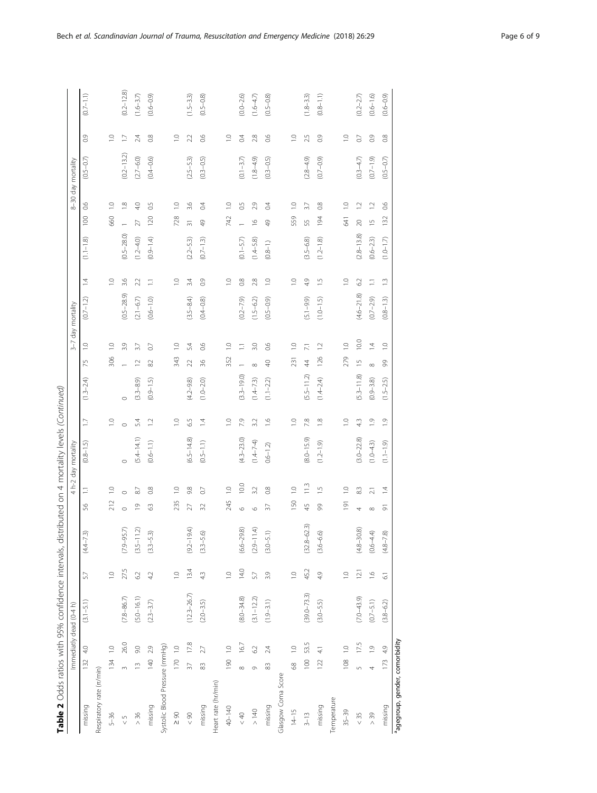| 5                         |
|---------------------------|
|                           |
|                           |
|                           |
| ĺ                         |
| $\overline{\phantom{a}}$  |
|                           |
| Ì                         |
|                           |
| $\overline{a}$            |
|                           |
|                           |
| $\frac{1}{2}$             |
|                           |
|                           |
| ļ                         |
|                           |
| $\vdots$                  |
| 5                         |
|                           |
| )<br>)<br>)<br>)          |
|                           |
|                           |
| ļ                         |
| :                         |
|                           |
|                           |
|                           |
| s in in                   |
| $\overline{\phantom{a}}$  |
|                           |
|                           |
| $\vdots$<br>$\frac{1}{2}$ |
| $\frac{1}{2}$             |
|                           |
|                           |
| ;                         |
|                           |
|                           |
| うこうり<br>i                 |
|                           |
|                           |
| :<br>גו<br>$\zeta$        |
|                           |
|                           |
|                           |
|                           |
|                           |
|                           |
|                           |
|                           |
| 5                         |
|                           |
| I                         |
| コンコンコン                    |
| Ċ.                        |
| -able∽                    |
|                           |
|                           |
| :                         |
|                           |

|                                |                 |                | Immediatly dead (0-4 h) |                |                 |                  |                 | 4 h-2 day mortality |                |                |                |                  | 3-7 day mortality |                    |                |                  | 8-30 day mortality |                |                  |                |
|--------------------------------|-----------------|----------------|-------------------------|----------------|-----------------|------------------|-----------------|---------------------|----------------|----------------|----------------|------------------|-------------------|--------------------|----------------|------------------|--------------------|----------------|------------------|----------------|
| missing                        | 132             | 4.0            | $(3.1 - 5.1)$           | 5.7            | $(4.4 - 7.3)$   | S6               | Ξ               | $(0.8 - 1.5)$       | $\Box$         | $(1.3 - 2.4)$  | 75             | $\supseteq$      | $(0.7 - 1.2)$     | $\overline{4}$     | $(1.1 - 1.8)$  | $\overline{100}$ | 0.6                | $(0.5 - 0.7)$  | $\overline{0}$   | $(0.7 - 1.1)$  |
| Respiratory rate (rr/min)      |                 |                |                         |                |                 |                  |                 |                     |                |                |                |                  |                   |                    |                |                  |                    |                |                  |                |
| $5 - 36$                       |                 | 134 1.0        |                         | $\overline{0}$ |                 | 212              | $\overline{a}$  |                     | $\overline{0}$ |                | 306            | $\overline{a}$   |                   | $\overline{1.0}$   |                | 660              | $\overline{1.0}$   |                | $\overline{0}$   |                |
| $\frac{5}{2}$                  |                 | 26.0           | $(7.8 - 86.7)$          | 27.5           | $(7.9 - 95.7)$  | $\circ$          | $\circ$         | $\circ$             | $\circ$        | $\circ$        |                | 3.9              | $(0.5 - 28.9)$    | 3.6                | $(0.5 - 28.0)$ |                  | $\frac{8}{1}$      | $(0.2 - 13.2)$ | $\Box$           | $(0.2 - 12.8)$ |
| > 36                           | $\frac{13}{2}$  | 0.6            | $(5.0 - 16.1)$          | 6.2            | $(3.5 - 11.2)$  | $\supseteq$      | $\approx$       | $(5.4 - 14.1)$      | 5.4            | $(3.3 - 8.9)$  | $\overline{c}$ | 3.7              | $(2.1 - 6.7)$     | 2.2                | $(1.2 - 4.0)$  | 27               | 4.0                | $(2.7 - 6.0)$  | 2.4              | $(1.6 - 3.7)$  |
| missing                        |                 | 140 2.9        | $(2.3 - 3.7)$           | 4.2            | $(3.3 - 5.3)$   | $\Im$            | $\frac{8}{2}$   | $(0.6 - 1.1)$       | $\supseteq$    | $(0.9 - 1.5)$  | 82             | $\overline{0}$   | $(0.6 - 1.0)$     | Ξ                  | $(0.9 - 1.4)$  | 120              | 0.5                | $(0.4 - 0.6)$  | 0.8              | $(0.6 - 0.9)$  |
| Systolic Blood Pressure (mmHg) |                 |                |                         |                |                 |                  |                 |                     |                |                |                |                  |                   |                    |                |                  |                    |                |                  |                |
| $\frac{8}{1}$                  |                 | 170 1.0        |                         | $\supseteq$    |                 | 235              | $\overline{0}$  |                     | $\supseteq$    |                | 343            | $\overline{a}$   |                   | $\overline{1.0}$   |                | 728              | $\overline{1.0}$   |                | $\supseteq$      |                |
| $\leqslant 90$                 | $\overline{37}$ | 17.8           | $(12.3 - 26.7)$         | 13.4           | $(9.2 - 19.4)$  | 27               | 9.8             | $(6.5 - 14.8)$      | 6.5            | $(4.2 - 9.8)$  | 22             | 5.4              | $(3.5 - 8.4)$     | 3.4                | $(2.2 - 5.3)$  | $\overline{31}$  | 3.6                | $(2.5 - 5.3)$  | 22               | $(1.5 - 3.3)$  |
| missing                        | 83              | 27             | $(2.0 - 3.5)$           | 4.3            | $(3.3 - 5.6)$   | 32               | $\circ$         | $(0.5 - 1.1)$       | $\overline{4}$ | $(1.0 - 2.0)$  | 36             | 0.6              | $(0.4 - 0.8)$     | $\overline{0}$ .   | $(0.7 - 1.3)$  | $\frac{1}{4}$    | $\overline{0.4}$   | $(0.3 - 0.5)$  | 0.6              | $(0.5 - 0.8)$  |
| Heart rate (hr/min)            |                 |                |                         |                |                 |                  |                 |                     |                |                |                |                  |                   |                    |                |                  |                    |                |                  |                |
| $40 - 140$                     | 190             | $\frac{1}{2}$  |                         | $\supseteq$    |                 | 245              | $\frac{1}{2}$   |                     | $\supseteq$    |                | 352            | $\frac{0}{1}$    |                   | $\overline{1}$ . O |                | 742              | $\overline{1}$ . O |                | $\overline{0}$   |                |
| < 40                           | $\infty$        | 167            | $(8.0 - 34.8)$          | 14.0           | $(6.6 - 29.8)$  | O                | 10.0            | $(4.3 - 23.0)$      | 7.9            | $(3.3 - 19.0)$ |                | Ξ                | $(0.2 - 7.9)$     | 0.8                | $(0.1 - 5.7)$  |                  | 0.5                | $(0.1 - 3.7)$  | $\overline{0.4}$ | $(0.0 - 2.6)$  |
| $> 140$                        |                 | 6.2            | $(3.1 - 12.2)$          | 5.7            | $(2.9 - 11.4)$  | Q                | 3.2             | $(1.4 - 7 - 4)$     | 3.2            | $(1.4 - 7.3)$  | $\infty$       | 3.0              | $(1.5 - 6.2)$     | 2.8                | $(1.4 - 5.8)$  | $\frac{6}{2}$    | 2.9                | $(1.8 - 4.9)$  | 2.8              | $(1.6 - 4.7)$  |
| missing                        | 83              | 24             | $(1.9 - 3.1)$           | 3.9            | $(3.0 - 5.1)$   | 57               | 0.8             | $0.6 - 1.2$         | $\frac{6}{1}$  | $(1.1 - 2.2)$  | $\Theta$       | 0.6              | $(0.5 - 0.9)$     | $\frac{0}{1}$      | $(0.8 - 1.)$   | $\frac{1}{2}$    | 0.4                | $(0.3 - 0.5)$  | 0.6              | $(0.5 - 0.8)$  |
| Glasgow Coma Score             |                 |                |                         |                |                 |                  |                 |                     |                |                |                |                  |                   |                    |                |                  |                    |                |                  |                |
| $14 - 15$                      | 68              | $\overline{a}$ |                         | $\overline{0}$ |                 | 150              | $\overline{C}$  |                     | $\supseteq$    |                | 231            | $\overline{a}$   |                   | $\overline{0}$     |                | 559              | $\overline{0}$     |                | $\overline{C}$   |                |
| $3 - 13$                       | 100             | 53.5           | $(39.0 - 73.3)$         | 45.2           | $(32.8 - 62.3)$ | 45               | 11.3            | $(8.0 - 15.9)$      | 7.8            | $(5.5 - 11.2)$ | $rac{4}{4}$    | $\overline{z}$   | $(5.1 - 9.9)$     | 4.9                | $(3.5 - 6.8)$  | 55               | 3.7                | $(2.8 - 4.9)$  | 2.5              | $(1.8 - 3.3)$  |
| missing                        | 122             | $\frac{1}{4}$  | $(3.0 - 5.5)$           | 4.9            | $(3.6 - 6.6)$   | 99               | $\frac{5}{1}$   | $(1.2 - 1.9)$       | $\frac{8}{1}$  | $(1.4 - 2.4)$  | 126            | $\overline{1}$ . | $(1.0 - 1.5)$     | 1.5                | $(1.2 - 1.8)$  | 194              | $\frac{8}{2}$      | $(0.7 - 0.9)$  | $\overline{0}$   | $(0.8 - 1.1)$  |
| Temperature                    |                 |                |                         |                |                 |                  |                 |                     |                |                |                |                  |                   |                    |                |                  |                    |                |                  |                |
| $35 - 39$                      | 108             | $\frac{1}{2}$  |                         | $\supseteq$    |                 | $\overline{191}$ | $\frac{0}{1}$   |                     | $\supseteq$    |                | 279            | $\frac{1}{2}$    |                   | $\overline{1.0}$   |                | $\overline{4}$   | $\frac{0}{1}$      |                | $\overline{1.0}$ |                |
| $< 35$                         |                 | 17.5           | $(7.0 - 43.9)$          | 12.1           | $(4.8 - 30.8)$  |                  | 83              | $(3.0 - 22.8)$      | 4.3            | $(5.3 - 11.8)$ | $\frac{5}{1}$  | 10.0             | $(4.6 - 21.8)$    | 6.2                | $(2.8 - 13.8)$ | $\approx$        | $\overline{12}$    | $(0.3 - 4.7)$  | $\overline{O}$   | $(0.2 - 2.7)$  |
| > 39                           |                 | $\overline{0}$ | $(0.7 - 5.1)$           | $\frac{6}{1}$  | $(0.6 - 4.4)$   | $\infty$         | $\overline{21}$ | $(1.0 - 4.3)$       | $\overline{0}$ | $(0.9 - 3.8)$  | $\infty$       | $\overline{14}$  | $(0.7 - 2.9)$     | Ξ                  | $(0.6 - 2.3)$  | $\frac{5}{1}$    | $\overline{12}$    | $(0.7 - 1.9)$  | $\overline{0}$   | $(0.6 - 1.6)$  |
| missing                        | 173             | 49             | $(3.8 - 6.2)$           | $\overline{6}$ | $(4.8 - 7.8)$   | 등                | $\overline{4}$  | $(1.1 - 1.9)$       | $\overline{0}$ | $(1.5 - 2.5)$  | 99             | $\overline{C}$   | $(0.8 - 1.3)$     | 1.3                | $(1.0 - 1.7)$  | 132              | 0.6                | $(0.5 - 0.7)$  | 0.8              | $(0.6 - 0.9)$  |
| agegroup, gender, comorbidity  |                 |                |                         |                |                 |                  |                 |                     |                |                |                |                  |                   |                    |                |                  |                    |                |                  |                |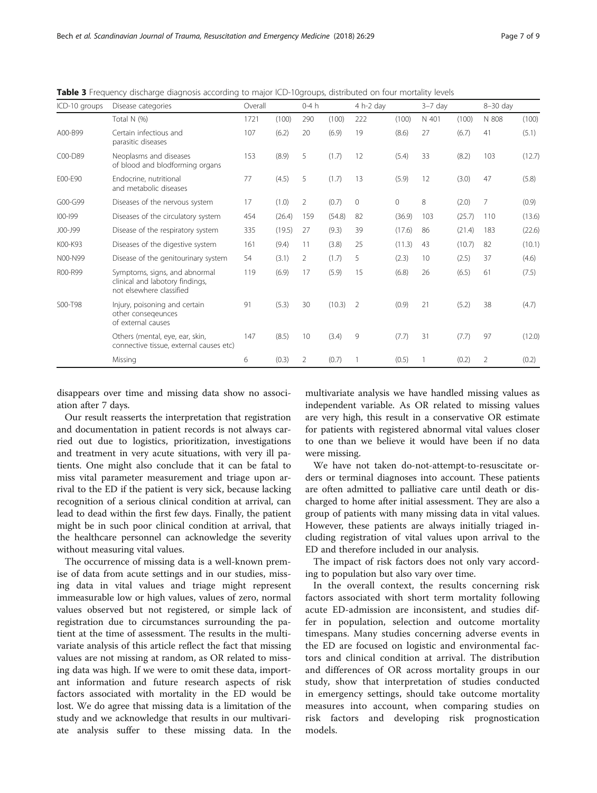| ICD-10 groups | Disease categories                                                                           | Overall |        | $0-4 h$        |        | $4 h-2 day$  |              | $3-7$ day |        | 8-30 day       |        |
|---------------|----------------------------------------------------------------------------------------------|---------|--------|----------------|--------|--------------|--------------|-----------|--------|----------------|--------|
|               | Total N (%)                                                                                  | 1721    | (100)  | 290            | (100)  | 222          | (100)        | N 401     | (100)  | N 808          | (100)  |
| A00-B99       | Certain infectious and<br>parasitic diseases                                                 | 107     | (6.2)  | 20             | (6.9)  | 19           | (8.6)        | 27        | (6.7)  | 41             | (5.1)  |
| C00-D89       | Neoplasms and diseases<br>of blood and blodforming organs                                    | 153     | (8.9)  | 5              | (1.7)  | 12           | (5.4)        | 33        | (8.2)  | 103            | (12.7) |
| E00-E90       | Endocrine, nutritional<br>and metabolic diseases                                             | 77      | (4.5)  | 5              | (1.7)  | 13           | (5.9)        | 12        | (3.0)  | 47             | (5.8)  |
| G00-G99       | Diseases of the nervous system                                                               | 17      | (1.0)  | 2              | (0.7)  | $\mathbf{0}$ | $\mathbf{0}$ | 8         | (2.0)  | 7              | (0.9)  |
| $100 - 199$   | Diseases of the circulatory system                                                           | 454     | (26.4) | 159            | (54.8) | 82           | (36.9)       | 103       | (25.7) | 110            | (13.6) |
| J00-J99       | Disease of the respiratory system                                                            | 335     | (19.5) | 27             | (9.3)  | 39           | (17.6)       | 86        | (21.4) | 183            | (22.6) |
| K00-K93       | Diseases of the digestive system                                                             | 161     | (9.4)  | 11             | (3.8)  | 25           | (11.3)       | 43        | (10.7) | 82             | (10.1) |
| N00-N99       | Disease of the genitourinary system                                                          | 54      | (3.1)  | 2              | (1.7)  | 5            | (2.3)        | 10        | (2.5)  | 37             | (4.6)  |
| R00-R99       | Symptoms, signs, and abnormal<br>clinical and labotory findings,<br>not elsewhere classified | 119     | (6.9)  | 17             | (5.9)  | 15           | (6.8)        | 26        | (6.5)  | 61             | (7.5)  |
| S00-T98       | Injury, poisoning and certain<br>other consegeunces<br>of external causes                    | 91      | (5.3)  | 30             | (10.3) | 2            | (0.9)        | 21        | (5.2)  | 38             | (4.7)  |
|               | Others (mental, eye, ear, skin,<br>connective tissue, external causes etc)                   | 147     | (8.5)  | 10             | (3.4)  | 9            | (7.7)        | 31        | (7.7)  | 97             | (12.0) |
|               | Missing                                                                                      | 6       | (0.3)  | $\overline{2}$ | (0.7)  |              | (0.5)        |           | (0.2)  | $\overline{2}$ | (0.2)  |

<span id="page-6-0"></span>Table 3 Frequency discharge diagnosis according to major ICD-10groups, distributed on four mortality levels

disappears over time and missing data show no association after 7 days.

Our result reasserts the interpretation that registration and documentation in patient records is not always carried out due to logistics, prioritization, investigations and treatment in very acute situations, with very ill patients. One might also conclude that it can be fatal to miss vital parameter measurement and triage upon arrival to the ED if the patient is very sick, because lacking recognition of a serious clinical condition at arrival, can lead to dead within the first few days. Finally, the patient might be in such poor clinical condition at arrival, that the healthcare personnel can acknowledge the severity without measuring vital values.

The occurrence of missing data is a well-known premise of data from acute settings and in our studies, missing data in vital values and triage might represent immeasurable low or high values, values of zero, normal values observed but not registered, or simple lack of registration due to circumstances surrounding the patient at the time of assessment. The results in the multivariate analysis of this article reflect the fact that missing values are not missing at random, as OR related to missing data was high. If we were to omit these data, important information and future research aspects of risk factors associated with mortality in the ED would be lost. We do agree that missing data is a limitation of the study and we acknowledge that results in our multivariate analysis suffer to these missing data. In the

multivariate analysis we have handled missing values as independent variable. As OR related to missing values are very high, this result in a conservative OR estimate for patients with registered abnormal vital values closer to one than we believe it would have been if no data were missing.

We have not taken do-not-attempt-to-resuscitate orders or terminal diagnoses into account. These patients are often admitted to palliative care until death or discharged to home after initial assessment. They are also a group of patients with many missing data in vital values. However, these patients are always initially triaged including registration of vital values upon arrival to the ED and therefore included in our analysis.

The impact of risk factors does not only vary according to population but also vary over time.

In the overall context, the results concerning risk factors associated with short term mortality following acute ED-admission are inconsistent, and studies differ in population, selection and outcome mortality timespans. Many studies concerning adverse events in the ED are focused on logistic and environmental factors and clinical condition at arrival. The distribution and differences of OR across mortality groups in our study, show that interpretation of studies conducted in emergency settings, should take outcome mortality measures into account, when comparing studies on risk factors and developing risk prognostication models.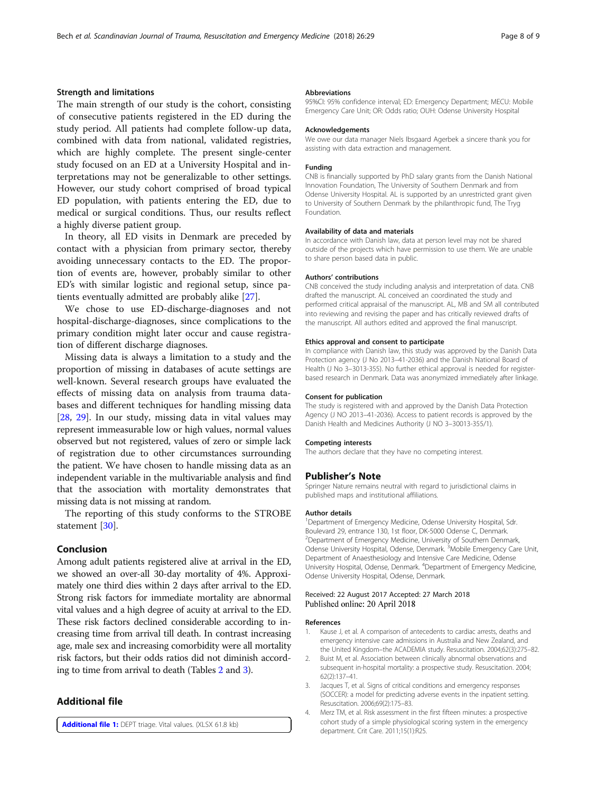## <span id="page-7-0"></span>Strength and limitations

The main strength of our study is the cohort, consisting of consecutive patients registered in the ED during the study period. All patients had complete follow-up data, combined with data from national, validated registries, which are highly complete. The present single-center study focused on an ED at a University Hospital and interpretations may not be generalizable to other settings. However, our study cohort comprised of broad typical ED population, with patients entering the ED, due to medical or surgical conditions. Thus, our results reflect a highly diverse patient group.

In theory, all ED visits in Denmark are preceded by contact with a physician from primary sector, thereby avoiding unnecessary contacts to the ED. The proportion of events are, however, probably similar to other ED's with similar logistic and regional setup, since patients eventually admitted are probably alike [[27](#page-8-0)].

We chose to use ED-discharge-diagnoses and not hospital-discharge-diagnoses, since complications to the primary condition might later occur and cause registration of different discharge diagnoses.

Missing data is always a limitation to a study and the proportion of missing in databases of acute settings are well-known. Several research groups have evaluated the effects of missing data on analysis from trauma databases and different techniques for handling missing data [[28,](#page-8-0) [29\]](#page-8-0). In our study, missing data in vital values may represent immeasurable low or high values, normal values observed but not registered, values of zero or simple lack of registration due to other circumstances surrounding the patient. We have chosen to handle missing data as an independent variable in the multivariable analysis and find that the association with mortality demonstrates that missing data is not missing at random.

The reporting of this study conforms to the STROBE statement [[30\]](#page-8-0).

#### Conclusion

Among adult patients registered alive at arrival in the ED, we showed an over-all 30-day mortality of 4%. Approximately one third dies within 2 days after arrival to the ED. Strong risk factors for immediate mortality are abnormal vital values and a high degree of acuity at arrival to the ED. These risk factors declined considerable according to increasing time from arrival till death. In contrast increasing age, male sex and increasing comorbidity were all mortality risk factors, but their odds ratios did not diminish according to time from arrival to death (Tables [2](#page-4-0) and [3](#page-6-0)).

## Additional file

[Additional file 1:](https://doi.org/10.1186/s13049-018-0493-2) DEPT triage. Vital values. (XLSX 61.8 kb)

#### Abbreviations

95%CI: 95% confidence interval; ED: Emergency Department; MECU: Mobile Emergency Care Unit; OR: Odds ratio; OUH: Odense University Hospital

#### Acknowledgements

We owe our data manager Niels Ibsgaard Agerbek a sincere thank you for assisting with data extraction and management.

#### Funding

CNB is financially supported by PhD salary grants from the Danish National Innovation Foundation, The University of Southern Denmark and from Odense University Hospital. AL is supported by an unrestricted grant given to University of Southern Denmark by the philanthropic fund, The Tryg Foundation.

#### Availability of data and materials

In accordance with Danish law, data at person level may not be shared outside of the projects which have permission to use them. We are unable to share person based data in public.

#### Authors' contributions

CNB conceived the study including analysis and interpretation of data. CNB drafted the manuscript. AL conceived an coordinated the study and performed critical appraisal of the manuscript. AL, MB and SM all contributed into reviewing and revising the paper and has critically reviewed drafts of the manuscript. All authors edited and approved the final manuscript.

#### Ethics approval and consent to participate

In compliance with Danish law, this study was approved by the Danish Data Protection agency (J No 2013–41-2036) and the Danish National Board of Health (J No 3–3013-355). No further ethical approval is needed for registerbased research in Denmark. Data was anonymized immediately after linkage.

#### Consent for publication

The study is registered with and approved by the Danish Data Protection Agency (J NO 2013–41-2036). Access to patient records is approved by the Danish Health and Medicines Authority (J NO 3–30013-355/1).

#### Competing interests

The authors declare that they have no competing interest.

## Publisher's Note

Springer Nature remains neutral with regard to jurisdictional claims in published maps and institutional affiliations.

#### Author details

<sup>1</sup> Department of Emergency Medicine, Odense University Hospital, Sdr. Boulevard 29, entrance 130, 1st floor, DK-5000 Odense C, Denmark. <sup>2</sup>Department of Emergency Medicine, University of Southern Denmark Odense University Hospital, Odense, Denmark.<sup>3</sup> Mobile Emergency Care Unit Department of Anaesthesiology and Intensive Care Medicine, Odense University Hospital, Odense, Denmark. <sup>4</sup> Department of Emergency Medicine, Odense University Hospital, Odense, Denmark.

## Received: 22 August 2017 Accepted: 27 March 2018 Published online: 20 April 2018

#### References

- 1. Kause J, et al. A comparison of antecedents to cardiac arrests, deaths and emergency intensive care admissions in Australia and New Zealand, and the United Kingdom–the ACADEMIA study. Resuscitation. 2004;62(3):275–82.
- 2. Buist M, et al. Association between clinically abnormal observations and subsequent in-hospital mortality: a prospective study. Resuscitation. 2004; 62(2):137–41.
- 3. Jacques T, et al. Signs of critical conditions and emergency responses (SOCCER): a model for predicting adverse events in the inpatient setting. Resuscitation. 2006;69(2):175–83.
- 4. Merz TM, et al. Risk assessment in the first fifteen minutes: a prospective cohort study of a simple physiological scoring system in the emergency department. Crit Care. 2011;15(1):R25.